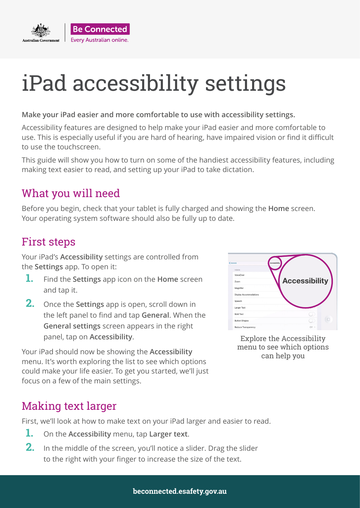

#### **Make your iPad easier and more comfortable to use with accessibility settings.**

Accessibility features are designed to help make your iPad easier and more comfortable to use. This is especially useful if you are hard of hearing, have impaired vision or find it difficult to use the touchscreen.

This guide will show you how to turn on some of the handiest accessibility features, including making text easier to read, and setting up your iPad to take dictation.

#### What you will need

Before you begin, check that your tablet is fully charged and showing the **Home** screen. Your operating system software should also be fully up to date.

### First steps

Your iPad's **Accessibility** settings are controlled from the **Settings** app. To open it:

- **1.** Find the **Settings** app icon on the **Home** screen and tap it.
- **2.** Once the **Settings** app is open, scroll down in the left panel to find and tap **General**. When the **General settings** screen appears in the right panel, tap on **Accessibility**.

Your iPad should now be showing the **Accessibility** menu. It's worth exploring the list to see which options could make your life easier. To get you started, we'll just focus on a few of the main settings.



Explore the Accessibility menu to see which options can help you

#### Making text larger

First, we'll look at how to make text on your iPad larger and easier to read.

- **1.** On the **Accessibility** menu, tap **Larger text**.
- **2.** In the middle of the screen, you'll notice a slider. Drag the slider to the right with your finger to increase the size of the text.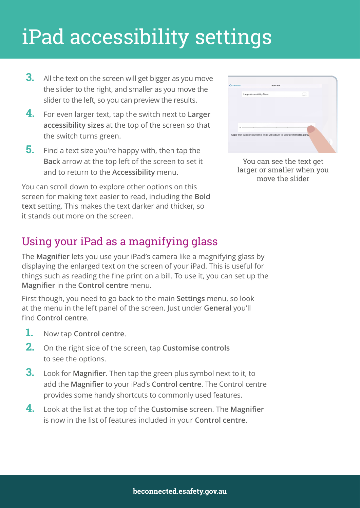- **3.** All the text on the screen will get bigger as you move the slider to the right, and smaller as you move the slider to the left, so you can preview the results.
- **4.** For even larger text, tap the switch next to **Larger accessibility sizes** at the top of the screen so that the switch turns green.
- **5.** Find a text size you're happy with, then tap the **Back** arrow at the top left of the screen to set it and to return to the **Accessibility** menu.

You can scroll down to explore other options on this screen for making text easier to read, including the **Bold text** setting. This makes the text darker and thicker, so it stands out more on the screen.

| <accessibility< th=""><th><b>Larger Text</b></th><th></th></accessibility<> | <b>Larger Text</b>                                                   |  |
|-----------------------------------------------------------------------------|----------------------------------------------------------------------|--|
|                                                                             | Larger Accessibility Sizes                                           |  |
|                                                                             |                                                                      |  |
|                                                                             |                                                                      |  |
|                                                                             |                                                                      |  |
|                                                                             |                                                                      |  |
| ٨                                                                           |                                                                      |  |
|                                                                             | Apps that support Dynamic Type will adjust to your preferred reading |  |
|                                                                             |                                                                      |  |

You can see the text get larger or smaller when you move the slider

### Using your iPad as a magnifying glass

The **Magnifier** lets you use your iPad's camera like a magnifying glass by displaying the enlarged text on the screen of your iPad. This is useful for things such as reading the fine print on a bill. To use it, you can set up the **Magnifier** in the **Control centre** menu.

First though, you need to go back to the main **Settings** menu, so look at the menu in the left panel of the screen. Just under **General** you'll find **Control centre**.

- **1.** Now tap **Control centre**.
- **2.** On the right side of the screen, tap **Customise controls** to see the options.
- **3.** Look for **Magnifier**. Then tap the green plus symbol next to it, to add the **Magnifier** to your iPad's **Control centre**. The Control centre provides some handy shortcuts to commonly used features.
- **4.** Look at the list at the top of the **Customise** screen. The **Magnifier** is now in the list of features included in your **Control centre**.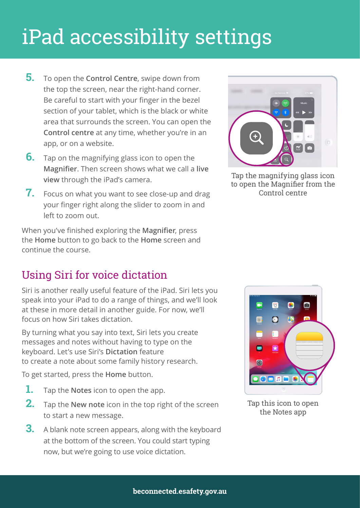- **5.** To open the **Control Centre**, swipe down from the top the screen, near the right-hand corner. Be careful to start with your finger in the bezel section of your tablet, which is the black or white area that surrounds the screen. You can open the **Control centre** at any time, whether you're in an app, or on a website.
- **6.** Tap on the magnifying glass icon to open the **Magnifier**. Then screen shows what we call a **live view** through the iPad's camera.
- **7.** Focus on what you want to see close-up and drag your finger right along the slider to zoom in and left to zoom out.

When you've finished exploring the **Magnifier**, press the **Home** button to go back to the **Home** screen and continue the course.

### Using Siri for voice dictation

Siri is another really useful feature of the iPad. Siri lets you speak into your iPad to do a range of things, and we'll look at these in more detail in another guide. For now, we'll focus on how Siri takes dictation.

By turning what you say into text, Siri lets you create messages and notes without having to type on the keyboard. Let's use Siri's **Dictation** feature to create a note about some family history research.

To get started, press the **Home** button.

- **1.** Tap the **Notes** icon to open the app.
- **2.** Tap the **New note** icon in the top right of the screen to start a new message.
- **3.** A blank note screen appears, along with the keyboard at the bottom of the screen. You could start typing now, but we're going to use voice dictation.



Tap the magnifying glass icon to open the Magnifier from the Control centre



Tap this icon to open the Notes app